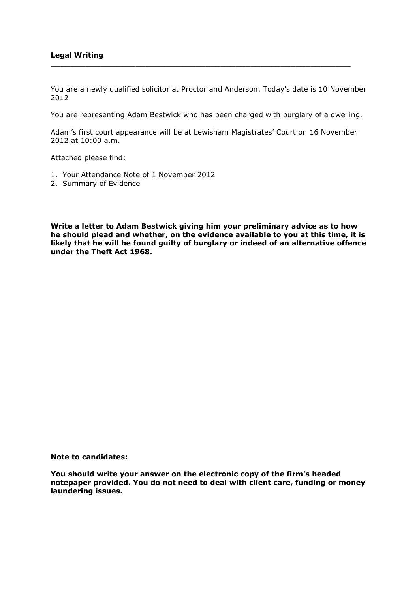## **Legal Writing**

You are a newly qualified solicitor at Proctor and Anderson. Today's date is 10 November 2012

**\_\_\_\_\_\_\_\_\_\_\_\_\_\_\_\_\_\_\_\_\_\_\_\_\_\_\_\_\_\_\_\_\_\_\_\_\_\_\_\_\_\_\_\_\_\_\_\_\_\_\_\_\_\_\_\_\_\_\_\_**

You are representing Adam Bestwick who has been charged with burglary of a dwelling.

Adam's first court appearance will be at Lewisham Magistrates' Court on 16 November 2012 at 10:00 a.m.

Attached please find:

- 1. Your Attendance Note of 1 November 2012
- 2. Summary of Evidence

**Write a letter to Adam Bestwick giving him your preliminary advice as to how he should plead and whether, on the evidence available to you at this time, it is likely that he will be found guilty of burglary or indeed of an alternative offence under the Theft Act 1968.**

**Note to candidates:**

**You should write your answer on the electronic copy of the firm's headed notepaper provided. You do not need to deal with client care, funding or money laundering issues.**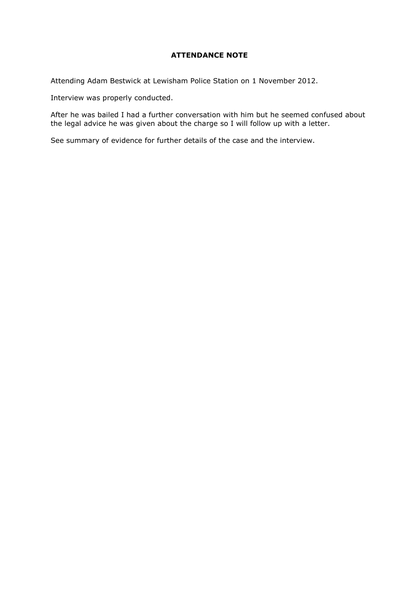## **ATTENDANCE NOTE**

Attending Adam Bestwick at Lewisham Police Station on 1 November 2012.

Interview was properly conducted.

After he was bailed I had a further conversation with him but he seemed confused about the legal advice he was given about the charge so I will follow up with a letter.

See summary of evidence for further details of the case and the interview.